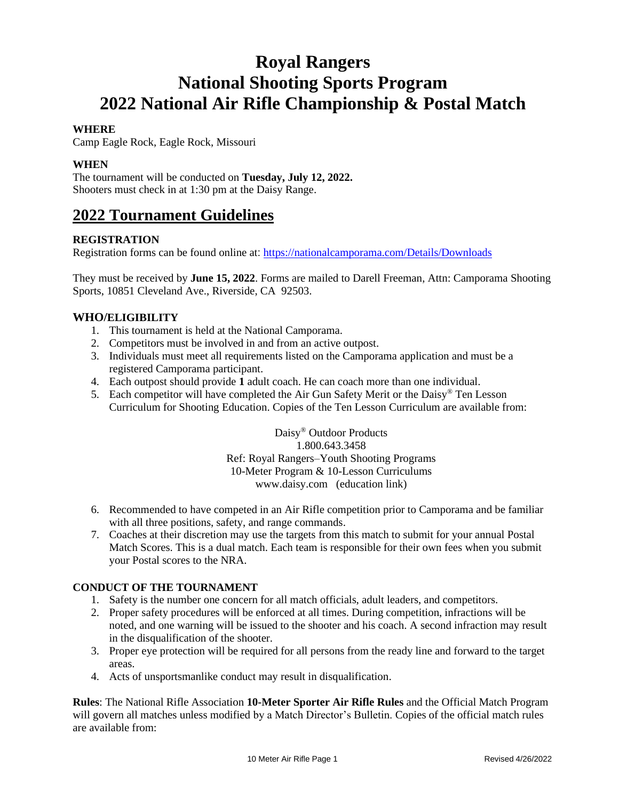# **Royal Rangers National Shooting Sports Program 2022 National Air Rifle Championship & Postal Match**

## **WHERE**

Camp Eagle Rock, Eagle Rock, Missouri

## **WHEN**

The tournament will be conducted on **Tuesday, July 12, 2022.** Shooters must check in at 1:30 pm at the Daisy Range.

## **2022 Tournament Guidelines**

## **REGISTRATION**

Registration forms can be found online at: <https://nationalcamporama.com/Details/Downloads>

They must be received by **June 15, 2022**. Forms are mailed to Darell Freeman, Attn: Camporama Shooting Sports, 10851 Cleveland Ave., Riverside, CA 92503.

## **WHO/ELIGIBILITY**

- 1. This tournament is held at the National Camporama.
- 2. Competitors must be involved in and from an active outpost.
- 3. Individuals must meet all requirements listed on the Camporama application and must be a registered Camporama participant.
- 4. Each outpost should provide **1** adult coach. He can coach more than one individual.
- 5. Each competitor will have completed the Air Gun Safety Merit or the Daisy® Ten Lesson Curriculum for Shooting Education. Copies of the Ten Lesson Curriculum are available from:

Daisy® Outdoor Products 1.800.643.3458 Ref: Royal Rangers–Youth Shooting Programs 10-Meter Program & 10-Lesson Curriculums www.daisy.com (education link)

- 6. Recommended to have competed in an Air Rifle competition prior to Camporama and be familiar with all three positions, safety, and range commands.
- 7. Coaches at their discretion may use the targets from this match to submit for your annual Postal Match Scores. This is a dual match. Each team is responsible for their own fees when you submit your Postal scores to the NRA.

## **CONDUCT OF THE TOURNAMENT**

- 1. Safety is the number one concern for all match officials, adult leaders, and competitors.
- 2. Proper safety procedures will be enforced at all times. During competition, infractions will be noted, and one warning will be issued to the shooter and his coach. A second infraction may result in the disqualification of the shooter.
- 3. Proper eye protection will be required for all persons from the ready line and forward to the target areas.
- 4. Acts of unsportsmanlike conduct may result in disqualification.

**Rules**: The National Rifle Association **10-Meter Sporter Air Rifle Rules** and the Official Match Program will govern all matches unless modified by a Match Director's Bulletin. Copies of the official match rules are available from: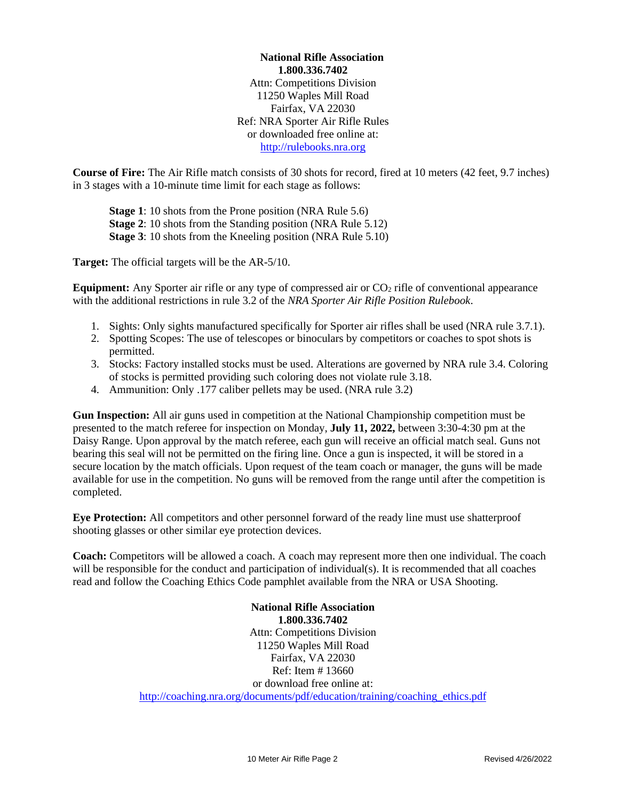**National Rifle Association 1.800.336.7402** Attn: Competitions Division 11250 Waples Mill Road Fairfax, VA 22030 Ref: NRA Sporter Air Rifle Rules or downloaded free online at: [http://rulebooks.nra.org](http://rulebooks.nra.org/)

**Course of Fire:** The Air Rifle match consists of 30 shots for record, fired at 10 meters (42 feet, 9.7 inches) in 3 stages with a 10-minute time limit for each stage as follows:

**Stage 1**: 10 shots from the Prone position (NRA Rule 5.6) **Stage 2**: 10 shots from the Standing position (NRA Rule 5.12) **Stage 3**: 10 shots from the Kneeling position (NRA Rule 5.10)

**Target:** The official targets will be the AR-5/10.

**Equipment:** Any Sporter air rifle or any type of compressed air or  $CO<sub>2</sub>$  rifle of conventional appearance with the additional restrictions in rule 3.2 of the *NRA Sporter Air Rifle Position Rulebook*.

- 1. Sights: Only sights manufactured specifically for Sporter air rifles shall be used (NRA rule 3.7.1).
- 2. Spotting Scopes: The use of telescopes or binoculars by competitors or coaches to spot shots is permitted.
- 3. Stocks: Factory installed stocks must be used. Alterations are governed by NRA rule 3.4. Coloring of stocks is permitted providing such coloring does not violate rule 3.18.
- 4. Ammunition: Only .177 caliber pellets may be used. (NRA rule 3.2)

**Gun Inspection:** All air guns used in competition at the National Championship competition must be presented to the match referee for inspection on Monday, **July 11, 2022,** between 3:30-4:30 pm at the Daisy Range. Upon approval by the match referee, each gun will receive an official match seal. Guns not bearing this seal will not be permitted on the firing line. Once a gun is inspected, it will be stored in a secure location by the match officials. Upon request of the team coach or manager, the guns will be made available for use in the competition. No guns will be removed from the range until after the competition is completed.

**Eye Protection:** All competitors and other personnel forward of the ready line must use shatterproof shooting glasses or other similar eye protection devices.

**Coach:** Competitors will be allowed a coach. A coach may represent more then one individual. The coach will be responsible for the conduct and participation of individual(s). It is recommended that all coaches read and follow the Coaching Ethics Code pamphlet available from the NRA or USA Shooting.

> **National Rifle Association 1.800.336.7402** Attn: Competitions Division 11250 Waples Mill Road Fairfax, VA 22030 Ref: Item # 13660 or download free online at: [http://coaching.nra.org/documents/pdf/education/training/coaching\\_ethics.pdf](http://coaching.nra.org/documents/pdf/education/training/coaching_ethics.pdf)